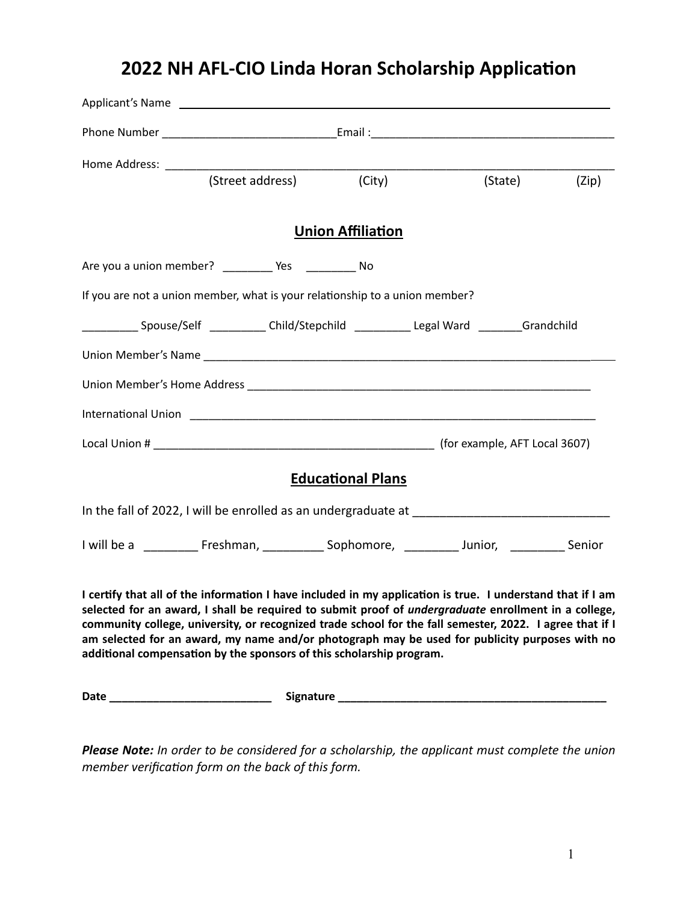## **2022 NH AFL-CIO Linda Horan Scholarship Application**

|                                                                                                                                                                                                                                                                                                                                                                                                                                                                                                                 |                  | Applicant's Name experience and the contract of the contract of the contract of the contract of the contract of |         |       |
|-----------------------------------------------------------------------------------------------------------------------------------------------------------------------------------------------------------------------------------------------------------------------------------------------------------------------------------------------------------------------------------------------------------------------------------------------------------------------------------------------------------------|------------------|-----------------------------------------------------------------------------------------------------------------|---------|-------|
|                                                                                                                                                                                                                                                                                                                                                                                                                                                                                                                 |                  |                                                                                                                 |         |       |
|                                                                                                                                                                                                                                                                                                                                                                                                                                                                                                                 |                  |                                                                                                                 |         |       |
|                                                                                                                                                                                                                                                                                                                                                                                                                                                                                                                 | (Street address) | (City)                                                                                                          | (State) | (Zip) |
|                                                                                                                                                                                                                                                                                                                                                                                                                                                                                                                 |                  | <b>Union Affiliation</b>                                                                                        |         |       |
|                                                                                                                                                                                                                                                                                                                                                                                                                                                                                                                 |                  |                                                                                                                 |         |       |
| If you are not a union member, what is your relationship to a union member?                                                                                                                                                                                                                                                                                                                                                                                                                                     |                  |                                                                                                                 |         |       |
| ______________Spouse/Self _____________Child/Stepchild _____________Legal Ward _________Grandchild                                                                                                                                                                                                                                                                                                                                                                                                              |                  |                                                                                                                 |         |       |
|                                                                                                                                                                                                                                                                                                                                                                                                                                                                                                                 |                  |                                                                                                                 |         |       |
|                                                                                                                                                                                                                                                                                                                                                                                                                                                                                                                 |                  |                                                                                                                 |         |       |
|                                                                                                                                                                                                                                                                                                                                                                                                                                                                                                                 |                  |                                                                                                                 |         |       |
|                                                                                                                                                                                                                                                                                                                                                                                                                                                                                                                 |                  |                                                                                                                 |         |       |
|                                                                                                                                                                                                                                                                                                                                                                                                                                                                                                                 |                  | <b>Educational Plans</b>                                                                                        |         |       |
|                                                                                                                                                                                                                                                                                                                                                                                                                                                                                                                 |                  |                                                                                                                 |         |       |
| I will be a ___________ Freshman, _____________ Sophomore, ___________ Junior, ___________ Senior                                                                                                                                                                                                                                                                                                                                                                                                               |                  |                                                                                                                 |         |       |
| I certify that all of the information I have included in my application is true. I understand that if I am<br>selected for an award, I shall be required to submit proof of <i>undergraduate</i> enrollment in a college,<br>community college, university, or recognized trade school for the fall semester, 2022. I agree that if I<br>am selected for an award, my name and/or photograph may be used for publicity purposes with no<br>additional compensation by the sponsors of this scholarship program. |                  |                                                                                                                 |         |       |
|                                                                                                                                                                                                                                                                                                                                                                                                                                                                                                                 |                  |                                                                                                                 |         |       |

*Please Note: In order to be considered for a scholarship, the applicant must complete the union member verification form on the back of this form.*